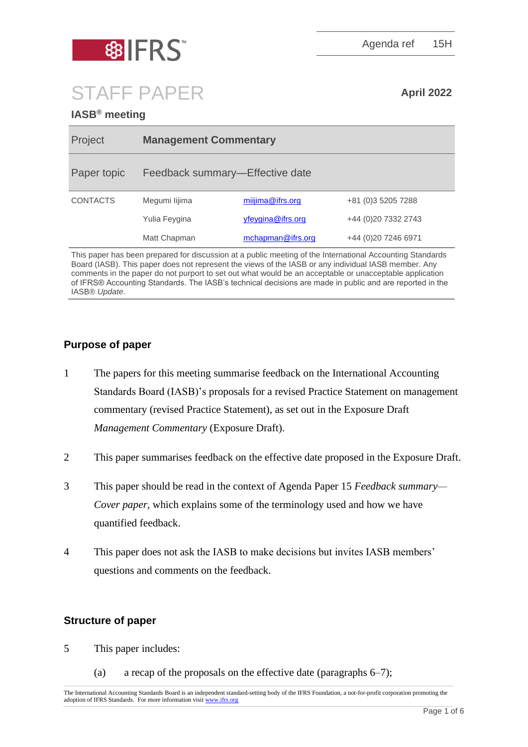

Agenda ref 15H

# STAFF PAPER **April 2022**

# **IASB® meeting**

| Project         | <b>Management Commentary</b>    |                   |                       |
|-----------------|---------------------------------|-------------------|-----------------------|
| Paper topic     | Feedback summary-Effective date |                   |                       |
| <b>CONTACTS</b> | Megumi lijima                   | miijima@ifrs.org  | +81 (0) 3 5 205 7 288 |
|                 | Yulia Feygina                   | yfeygina@ifrs.org | +44 (0)20 7332 2743   |
|                 | Matt Chapman                    | mchapman@ifrs.org | +44 (0) 20 7246 6971  |

This paper has been prepared for discussion at a public meeting of the International Accounting Standards Board (IASB). This paper does not represent the views of the IASB or any individual IASB member. Any comments in the paper do not purport to set out what would be an acceptable or unacceptable application of IFRS® Accounting Standards. The IASB's technical decisions are made in public and are reported in the IASB® *Update*.

# **Purpose of paper**

- 1 The papers for this meeting summarise feedback on the International Accounting Standards Board (IASB)'s proposals for a revised Practice Statement on management commentary (revised Practice Statement), as set out in the Exposure Draft *Management Commentary* (Exposure Draft).
- 2 This paper summarises feedback on the effective date proposed in the Exposure Draft.
- 3 This paper should be read in the context of Agenda Paper 15 *Feedback summary— Cover paper*, which explains some of the terminology used and how we have quantified feedback.
- 4 This paper does not ask the IASB to make decisions but invites IASB members' questions and comments on the feedback.

## **Structure of paper**

- 5 This paper includes:
	- (a) a recap of the proposals on the effective date (paragraphs  $6-7$ );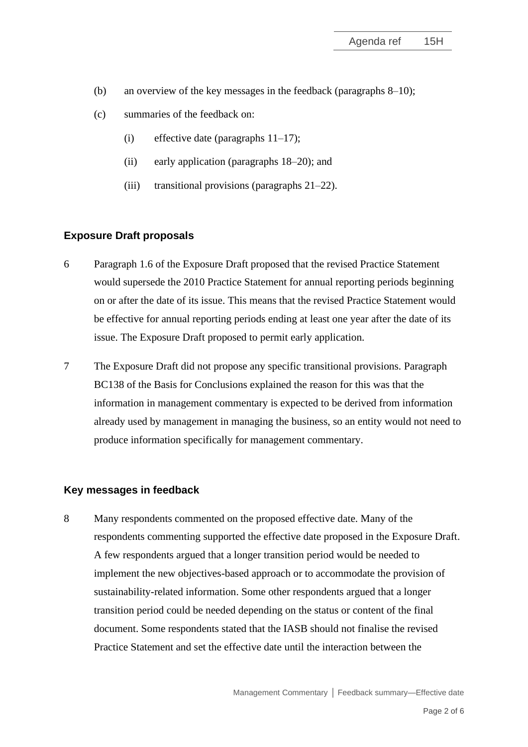- (b) an overview of the key messages in the feedback (paragraphs 8–10);
- (c) summaries of the feedback on:
	- (i) effective date (paragraphs  $11-17$ );
	- (ii) early application (paragraphs 18–20); and
	- (iii) transitional provisions (paragraphs 21–22).

#### **Exposure Draft proposals**

- 6 Paragraph 1.6 of the Exposure Draft proposed that the revised Practice Statement would supersede the 2010 Practice Statement for annual reporting periods beginning on or after the date of its issue. This means that the revised Practice Statement would be effective for annual reporting periods ending at least one year after the date of its issue. The Exposure Draft proposed to permit early application.
- 7 The Exposure Draft did not propose any specific transitional provisions. Paragraph BC138 of the Basis for Conclusions explained the reason for this was that the information in management commentary is expected to be derived from information already used by management in managing the business, so an entity would not need to produce information specifically for management commentary.

#### **Key messages in feedback**

8 Many respondents commented on the proposed effective date. Many of the respondents commenting supported the effective date proposed in the Exposure Draft. A few respondents argued that a longer transition period would be needed to implement the new objectives-based approach or to accommodate the provision of sustainability-related information. Some other respondents argued that a longer transition period could be needed depending on the status or content of the final document. Some respondents stated that the IASB should not finalise the revised Practice Statement and set the effective date until the interaction between the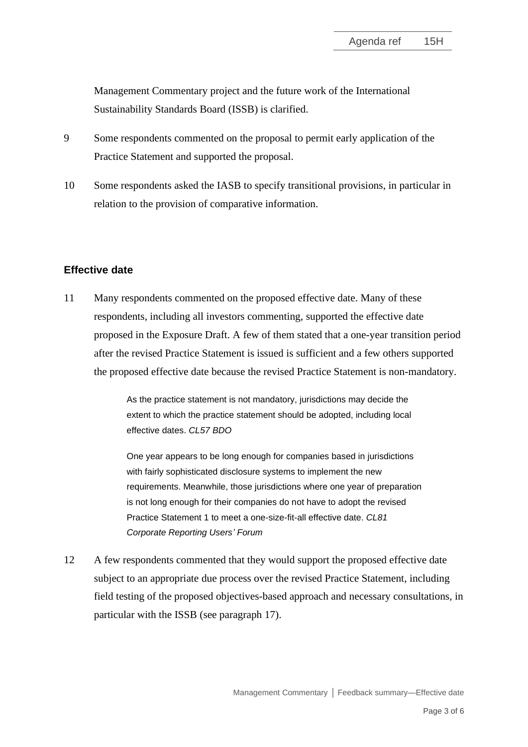Management Commentary project and the future work of the International Sustainability Standards Board (ISSB) is clarified.

- 9 Some respondents commented on the proposal to permit early application of the Practice Statement and supported the proposal.
- 10 Some respondents asked the IASB to specify transitional provisions, in particular in relation to the provision of comparative information.

#### **Effective date**

11 Many respondents commented on the proposed effective date. Many of these respondents, including all investors commenting, supported the effective date proposed in the Exposure Draft. A few of them stated that a one-year transition period after the revised Practice Statement is issued is sufficient and a few others supported the proposed effective date because the revised Practice Statement is non-mandatory.

> As the practice statement is not mandatory, jurisdictions may decide the extent to which the practice statement should be adopted, including local effective dates. *CL57 BDO*

One year appears to be long enough for companies based in jurisdictions with fairly sophisticated disclosure systems to implement the new requirements. Meanwhile, those jurisdictions where one year of preparation is not long enough for their companies do not have to adopt the revised Practice Statement 1 to meet a one-size-fit-all effective date. *CL81 Corporate Reporting Users' Forum*

12 A few respondents commented that they would support the proposed effective date subject to an appropriate due process over the revised Practice Statement, including field testing of the proposed objectives-based approach and necessary consultations, in particular with the ISSB (see paragraph 17).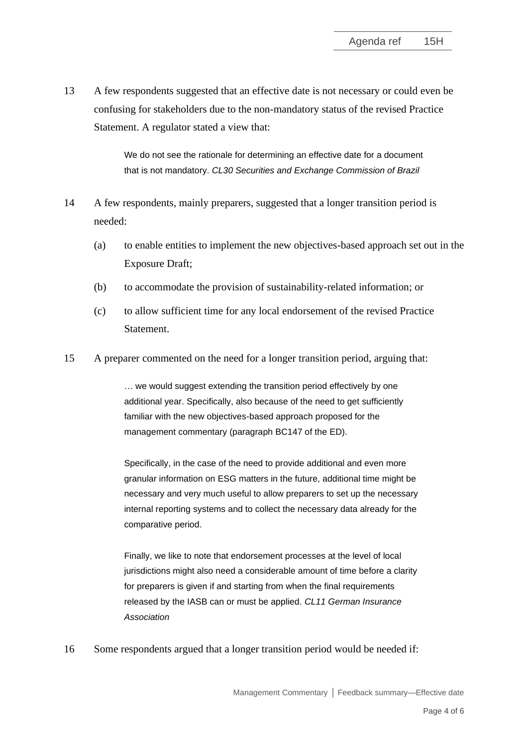13 A few respondents suggested that an effective date is not necessary or could even be confusing for stakeholders due to the non-mandatory status of the revised Practice Statement. A regulator stated a view that:

> We do not see the rationale for determining an effective date for a document that is not mandatory. *CL30 Securities and Exchange Commission of Brazil*

- 14 A few respondents, mainly preparers, suggested that a longer transition period is needed:
	- (a) to enable entities to implement the new objectives-based approach set out in the Exposure Draft;
	- (b) to accommodate the provision of sustainability-related information; or
	- (c) to allow sufficient time for any local endorsement of the revised Practice Statement.
- 15 A preparer commented on the need for a longer transition period, arguing that:

… we would suggest extending the transition period effectively by one additional year. Specifically, also because of the need to get sufficiently familiar with the new objectives-based approach proposed for the management commentary (paragraph BC147 of the ED).

Specifically, in the case of the need to provide additional and even more granular information on ESG matters in the future, additional time might be necessary and very much useful to allow preparers to set up the necessary internal reporting systems and to collect the necessary data already for the comparative period.

Finally, we like to note that endorsement processes at the level of local jurisdictions might also need a considerable amount of time before a clarity for preparers is given if and starting from when the final requirements released by the IASB can or must be applied. *CL11 German Insurance Association*

16 Some respondents argued that a longer transition period would be needed if: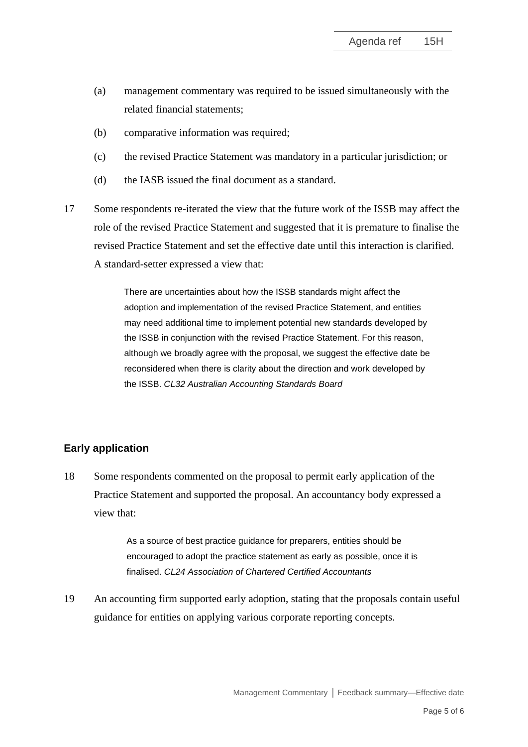- (a) management commentary was required to be issued simultaneously with the related financial statements;
- (b) comparative information was required;
- (c) the revised Practice Statement was mandatory in a particular jurisdiction; or
- (d) the IASB issued the final document as a standard.
- 17 Some respondents re-iterated the view that the future work of the ISSB may affect the role of the revised Practice Statement and suggested that it is premature to finalise the revised Practice Statement and set the effective date until this interaction is clarified. A standard-setter expressed a view that:

There are uncertainties about how the ISSB standards might affect the adoption and implementation of the revised Practice Statement, and entities may need additional time to implement potential new standards developed by the ISSB in conjunction with the revised Practice Statement. For this reason, although we broadly agree with the proposal, we suggest the effective date be reconsidered when there is clarity about the direction and work developed by the ISSB. *CL32 Australian Accounting Standards Board*

#### **Early application**

18 Some respondents commented on the proposal to permit early application of the Practice Statement and supported the proposal. An accountancy body expressed a view that:

> As a source of best practice guidance for preparers, entities should be encouraged to adopt the practice statement as early as possible, once it is finalised. *CL24 Association of Chartered Certified Accountants*

19 An accounting firm supported early adoption, stating that the proposals contain useful guidance for entities on applying various corporate reporting concepts.